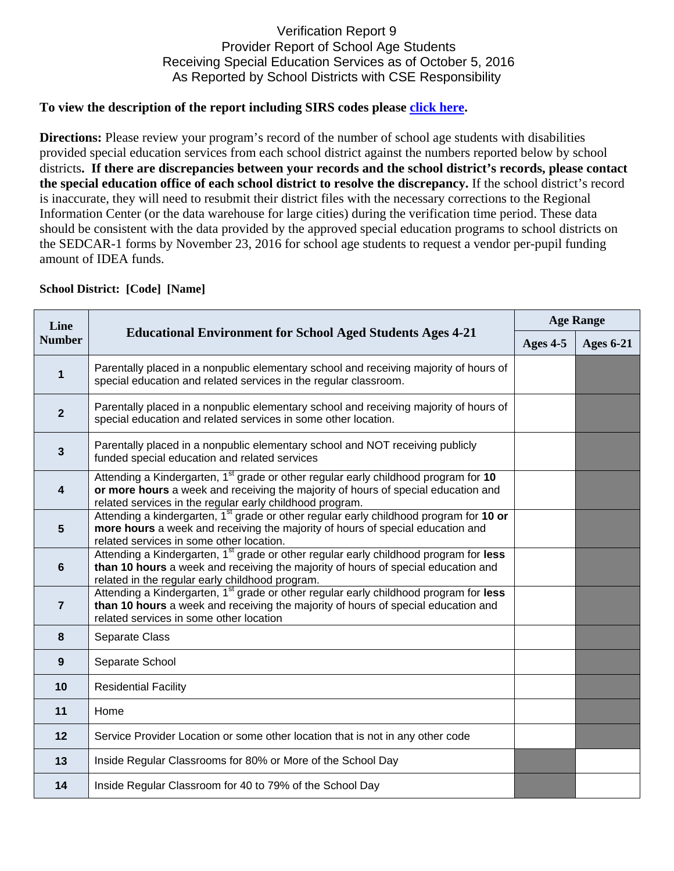## Verification Report 9 Provider Report of School Age Students Receiving Special Education Services as of October 5, 2016 As Reported by School Districts with CSE Responsibility

## To view the description of the report including SIRS codes please click here.

**Directions:** Please review your program's record of the number of school age students with disabilities provided special education services from each school district against the numbers reported below by school districts**. If there are discrepancies between your records and the school district's records, please contact the special education office of each school district to resolve the discrepancy.** If the school district's record is inaccurate, they will need to resubmit their district files with the necessary corrections to the Regional Information Center (or the data warehouse for large cities) during the verification time period. These data should be consistent with the data provided by the approved special education programs to school districts on the SEDCAR-1 forms by November 23, 2016 for school age students to request a vendor per-pupil funding amount of IDEA funds.

| <b>School District: [Code] [Name]</b> |                                                                                                                                                                                                                                                  |                  |                  |  |  |
|---------------------------------------|--------------------------------------------------------------------------------------------------------------------------------------------------------------------------------------------------------------------------------------------------|------------------|------------------|--|--|
| Line<br><b>Number</b>                 | <b>Educational Environment for School Aged Students Ages 4-21</b>                                                                                                                                                                                | <b>Age Range</b> |                  |  |  |
|                                       |                                                                                                                                                                                                                                                  | Ages 4-5         | <b>Ages 6-21</b> |  |  |
| 1                                     | Parentally placed in a nonpublic elementary school and receiving majority of hours of<br>special education and related services in the regular classroom.                                                                                        |                  |                  |  |  |
| $\overline{\mathbf{2}}$               | Parentally placed in a nonpublic elementary school and receiving majority of hours of<br>special education and related services in some other location.                                                                                          |                  |                  |  |  |
| $\mathbf{3}$                          | Parentally placed in a nonpublic elementary school and NOT receiving publicly<br>funded special education and related services                                                                                                                   |                  |                  |  |  |
| 4                                     | Attending a Kindergarten, 1 <sup>st</sup> grade or other regular early childhood program for 10<br>or more hours a week and receiving the majority of hours of special education and<br>related services in the regular early childhood program. |                  |                  |  |  |
| $5\phantom{1}$                        | Attending a kindergarten, 1 <sup>st</sup> grade or other regular early childhood program for 10 or<br>more hours a week and receiving the majority of hours of special education and<br>related services in some other location.                 |                  |                  |  |  |
| $6\phantom{a}$                        | Attending a Kindergarten, 1 <sup>st</sup> grade or other regular early childhood program for less<br>than 10 hours a week and receiving the majority of hours of special education and<br>related in the regular early childhood program.        |                  |                  |  |  |
| $\overline{7}$                        | Attending a Kindergarten, 1 <sup>st</sup> grade or other regular early childhood program for less<br>than 10 hours a week and receiving the majority of hours of special education and<br>related services in some other location                |                  |                  |  |  |
| 8                                     | Separate Class                                                                                                                                                                                                                                   |                  |                  |  |  |
| $\boldsymbol{9}$                      | Separate School                                                                                                                                                                                                                                  |                  |                  |  |  |
| 10                                    | <b>Residential Facility</b>                                                                                                                                                                                                                      |                  |                  |  |  |
| 11                                    | Home                                                                                                                                                                                                                                             |                  |                  |  |  |
| 12                                    | Service Provider Location or some other location that is not in any other code                                                                                                                                                                   |                  |                  |  |  |
| 13                                    | Inside Regular Classrooms for 80% or More of the School Day                                                                                                                                                                                      |                  |                  |  |  |
| 14                                    | Inside Regular Classroom for 40 to 79% of the School Day                                                                                                                                                                                         |                  |                  |  |  |